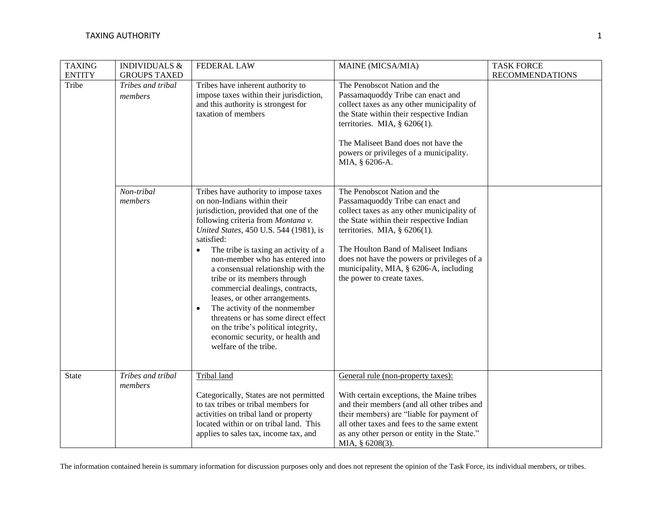| <b>TAXING</b><br><b>ENTITY</b> | <b>INDIVIDUALS &amp;</b><br><b>GROUPS TAXED</b> | <b>FEDERAL LAW</b>                                                                                                                                                                                                                                                                                                                                                                                                                                                                                                                                                                                             | MAINE (MICSA/MIA)                                                                                                                                                                                                                                                                                                                                             | <b>TASK FORCE</b><br><b>RECOMMENDATIONS</b> |
|--------------------------------|-------------------------------------------------|----------------------------------------------------------------------------------------------------------------------------------------------------------------------------------------------------------------------------------------------------------------------------------------------------------------------------------------------------------------------------------------------------------------------------------------------------------------------------------------------------------------------------------------------------------------------------------------------------------------|---------------------------------------------------------------------------------------------------------------------------------------------------------------------------------------------------------------------------------------------------------------------------------------------------------------------------------------------------------------|---------------------------------------------|
| Tribe                          | Tribes and tribal<br>members                    | Tribes have inherent authority to<br>impose taxes within their jurisdiction,<br>and this authority is strongest for<br>taxation of members                                                                                                                                                                                                                                                                                                                                                                                                                                                                     | The Penobscot Nation and the<br>Passamaquoddy Tribe can enact and<br>collect taxes as any other municipality of<br>the State within their respective Indian<br>territories. MIA, $\S$ 6206(1).<br>The Maliseet Band does not have the<br>powers or privileges of a municipality.<br>MIA, § 6206-A.                                                            |                                             |
|                                | Non-tribal<br>members                           | Tribes have authority to impose taxes<br>on non-Indians within their<br>jurisdiction, provided that one of the<br>following criteria from Montana v.<br>United States, 450 U.S. 544 (1981), is<br>satisfied:<br>The tribe is taxing an activity of a<br>non-member who has entered into<br>a consensual relationship with the<br>tribe or its members through<br>commercial dealings, contracts,<br>leases, or other arrangements.<br>The activity of the nonmember<br>threatens or has some direct effect<br>on the tribe's political integrity,<br>economic security, or health and<br>welfare of the tribe. | The Penobscot Nation and the<br>Passamaquoddy Tribe can enact and<br>collect taxes as any other municipality of<br>the State within their respective Indian<br>territories. MIA, $\S$ 6206(1).<br>The Houlton Band of Maliseet Indians<br>does not have the powers or privileges of a<br>municipality, MIA, § 6206-A, including<br>the power to create taxes. |                                             |
| State                          | Tribes and tribal<br>members                    | Tribal land<br>Categorically, States are not permitted<br>to tax tribes or tribal members for<br>activities on tribal land or property<br>located within or on tribal land. This<br>applies to sales tax, income tax, and                                                                                                                                                                                                                                                                                                                                                                                      | General rule (non-property taxes):<br>With certain exceptions, the Maine tribes<br>and their members (and all other tribes and<br>their members) are "liable for payment of<br>all other taxes and fees to the same extent<br>as any other person or entity in the State."<br>MIA, § 6208(3).                                                                 |                                             |

The information contained herein is summary information for discussion purposes only and does not represent the opinion of the Task Force, its individual members, or tribes.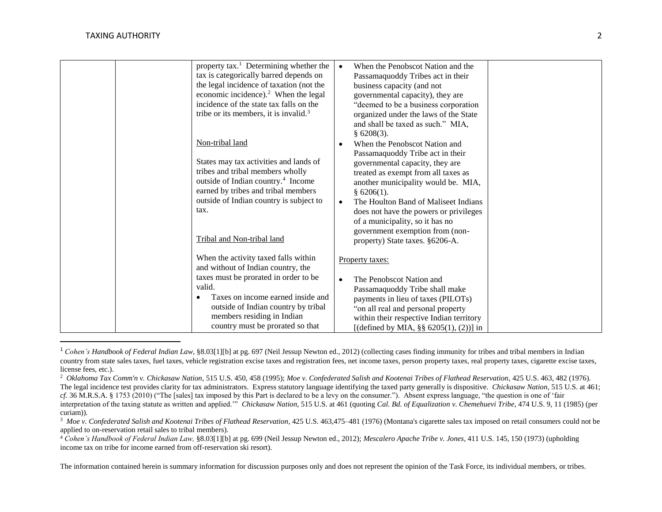$\overline{a}$ 

| property tax. <sup>1</sup> Determining whether the | When the Penobscot Nation and the<br>$\bullet$    |
|----------------------------------------------------|---------------------------------------------------|
| tax is categorically barred depends on             | Passamaquoddy Tribes act in their                 |
| the legal incidence of taxation (not the           | business capacity (and not                        |
| economic incidence). $2$ When the legal            | governmental capacity), they are                  |
| incidence of the state tax falls on the            | "deemed to be a business corporation              |
| tribe or its members, it is invalid. <sup>3</sup>  | organized under the laws of the State             |
|                                                    | and shall be taxed as such." MIA,                 |
|                                                    | $§$ 6208(3).                                      |
| Non-tribal land                                    | When the Penobscot Nation and<br>$\bullet$        |
|                                                    | Passamaquoddy Tribe act in their                  |
| States may tax activities and lands of             |                                                   |
| tribes and tribal members wholly                   | governmental capacity, they are                   |
| outside of Indian country. <sup>4</sup> Income     | treated as exempt from all taxes as               |
|                                                    | another municipality would be. MIA,               |
| earned by tribes and tribal members                | $§$ 6206(1).                                      |
| outside of Indian country is subject to            | The Houlton Band of Maliseet Indians<br>$\bullet$ |
| tax.                                               | does not have the powers or privileges            |
|                                                    | of a municipality, so it has no                   |
|                                                    | government exemption from (non-                   |
| Tribal and Non-tribal land                         | property) State taxes. §6206-A.                   |
|                                                    |                                                   |
| When the activity taxed falls within               | Property taxes:                                   |
| and without of Indian country, the                 |                                                   |
| taxes must be prorated in order to be              | The Penobscot Nation and<br>$\bullet$             |
| valid.                                             | Passamaquoddy Tribe shall make                    |
| Taxes on income earned inside and                  | payments in lieu of taxes (PILOTs)                |
| outside of Indian country by tribal                | "on all real and personal property                |
| members residing in Indian                         | within their respective Indian territory          |
| country must be prorated so that                   |                                                   |
|                                                    | [(defined by MIA, $\S\S 6205(1)$ , (2))] in       |

<sup>&</sup>lt;sup>1</sup> Cohen's Handbook of Federal Indian Law, §8.03[1][b] at pg. 697 (Neil Jessup Newton ed., 2012) (collecting cases finding immunity for tribes and tribal members in Indian country from state sales taxes, fuel taxes, vehicle registration excise taxes and registration fees, net income taxes, person property taxes, real property taxes, cigarette excise taxes, license fees, etc.).

The information contained herein is summary information for discussion purposes only and does not represent the opinion of the Task Force, its individual members, or tribes.

<sup>2</sup> *Oklahoma Tax Comm'n v. Chickasaw Nation*, 515 U.S. 450, 458 (1995); *Moe v. Confederated Salish and Kootenai Tribes of Flathead Reservation*, 425 U.S. 463, 482 (1976). The legal incidence test provides clarity for tax administrators. Express statutory language identifying the taxed party generally is dispositive. *Chickasaw Nation*, 515 U.S. at 461; *cf.* 36 M.R.S.A. § 1753 (2010) ("The [sales] tax imposed by this Part is declared to be a levy on the consumer."). Absent express language, "the question is one of 'fair interpretation of the taxing statute as written and applied.'" *Chickasaw Nation*, 515 U.S. at 461 (quoting *Cal. Bd. of Equalization v. Chemehuevi Tribe*, 474 U.S. 9, 11 (1985) (per curiam)).

<sup>&</sup>lt;sup>3</sup> Moe v. Confederated Salish and Kootenai Tribes of Flathead Reservation, 425 U.S. 463,475–481 (1976) (Montana's cigarette sales tax imposed on retail consumers could not be applied to on-reservation retail sales to tribal members).

<sup>4</sup> *Cohen's Handbook of Federal Indian Law,* §8.03[1][b] at pg. 699 (Neil Jessup Newton ed., 2012); *Mescalero Apache Tribe v. Jones*, 411 U.S. 145, 150 (1973) (upholding income tax on tribe for income earned from off-reservation ski resort).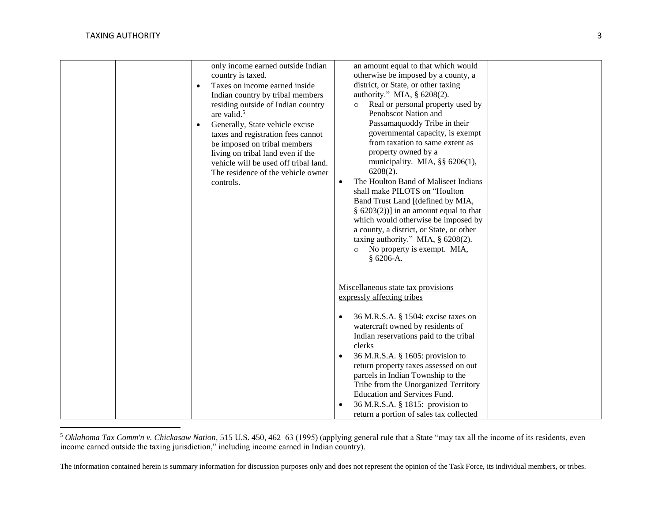$\overline{a}$ 

| only income earned outside Indian<br>country is taxed.<br>Taxes on income earned inside<br>$\bullet$<br>Indian country by tribal members<br>residing outside of Indian country<br>are valid. <sup>5</sup><br>Generally, State vehicle excise<br>$\bullet$<br>taxes and registration fees cannot<br>be imposed on tribal members<br>living on tribal land even if the<br>vehicle will be used off tribal land.<br>The residence of the vehicle owner<br>controls. | an amount equal to that which would<br>otherwise be imposed by a county, a<br>district, or State, or other taxing<br>authority." MIA, § 6208(2).<br>Real or personal property used by<br>$\circ$<br>Penobscot Nation and<br>Passamaquoddy Tribe in their<br>governmental capacity, is exempt<br>from taxation to same extent as<br>property owned by a<br>municipality. MIA, $\S\S 6206(1)$ ,<br>$6208(2)$ .<br>The Houlton Band of Maliseet Indians<br>$\bullet$<br>shall make PILOTS on "Houlton<br>Band Trust Land [(defined by MIA,<br>§ $6203(2)$ ] in an amount equal to that<br>which would otherwise be imposed by<br>a county, a district, or State, or other<br>taxing authority." MIA, $\S$ 6208(2).<br>No property is exempt. MIA,<br>$\circ$<br>$§ 6206-A.$ |
|------------------------------------------------------------------------------------------------------------------------------------------------------------------------------------------------------------------------------------------------------------------------------------------------------------------------------------------------------------------------------------------------------------------------------------------------------------------|--------------------------------------------------------------------------------------------------------------------------------------------------------------------------------------------------------------------------------------------------------------------------------------------------------------------------------------------------------------------------------------------------------------------------------------------------------------------------------------------------------------------------------------------------------------------------------------------------------------------------------------------------------------------------------------------------------------------------------------------------------------------------|
|                                                                                                                                                                                                                                                                                                                                                                                                                                                                  | Miscellaneous state tax provisions<br>expressly affecting tribes<br>36 M.R.S.A. § 1504: excise taxes on<br>$\bullet$<br>watercraft owned by residents of<br>Indian reservations paid to the tribal<br>clerks<br>36 M.R.S.A. § 1605: provision to<br>$\bullet$<br>return property taxes assessed on out<br>parcels in Indian Township to the<br>Tribe from the Unorganized Territory<br><b>Education and Services Fund.</b><br>36 M.R.S.A. § 1815: provision to<br>$\bullet$<br>return a portion of sales tax collected                                                                                                                                                                                                                                                   |

<sup>5</sup> *Oklahoma Tax Comm'n v. Chickasaw Nation*, 515 U.S. 450, 462–63 (1995) (applying general rule that a State "may tax all the income of its residents, even income earned outside the taxing jurisdiction," including income earned in Indian country).

The information contained herein is summary information for discussion purposes only and does not represent the opinion of the Task Force, its individual members, or tribes.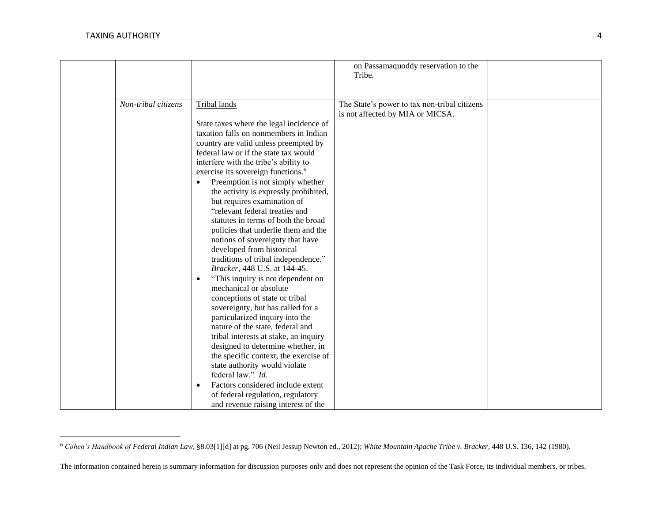$\overline{a}$ 

|                     |                                                                                                                                                                                                                                                                                                                                                                                                                                                                                                                                                                                                                                                                                                                                                                                                                                                        | on Passamaquoddy reservation to the<br>Tribe.                                    |  |
|---------------------|--------------------------------------------------------------------------------------------------------------------------------------------------------------------------------------------------------------------------------------------------------------------------------------------------------------------------------------------------------------------------------------------------------------------------------------------------------------------------------------------------------------------------------------------------------------------------------------------------------------------------------------------------------------------------------------------------------------------------------------------------------------------------------------------------------------------------------------------------------|----------------------------------------------------------------------------------|--|
| Non-tribal citizens | Tribal lands<br>State taxes where the legal incidence of<br>taxation falls on nonmembers in Indian<br>country are valid unless preempted by<br>federal law or if the state tax would<br>interfere with the tribe's ability to<br>exercise its sovereign functions. <sup>6</sup><br>Preemption is not simply whether<br>$\bullet$<br>the activity is expressly prohibited,<br>but requires examination of<br>"relevant federal treaties and<br>statutes in terms of both the broad<br>policies that underlie them and the<br>notions of sovereignty that have<br>developed from historical<br>traditions of tribal independence."<br>Bracker, 448 U.S. at 144-45.<br>"This inquiry is not dependent on<br>$\bullet$<br>mechanical or absolute<br>conceptions of state or tribal<br>sovereignty, but has called for a<br>particularized inquiry into the | The State's power to tax non-tribal citizens<br>is not affected by MIA or MICSA. |  |
|                     | nature of the state, federal and<br>tribal interests at stake, an inquiry<br>designed to determine whether, in<br>the specific context, the exercise of<br>state authority would violate<br>federal law." Id.<br>Factors considered include extent<br>$\bullet$<br>of federal regulation, regulatory<br>and revenue raising interest of the                                                                                                                                                                                                                                                                                                                                                                                                                                                                                                            |                                                                                  |  |

<sup>6</sup> *Cohen's Handbook of Federal Indian Law,* §8.03[1][d] at pg. 706 (Neil Jessup Newton ed., 2012); *White Mountain Apache Tribe v. Bracker*, 448 U.S. 136, 142 (1980).

The information contained herein is summary information for discussion purposes only and does not represent the opinion of the Task Force, its individual members, or tribes.